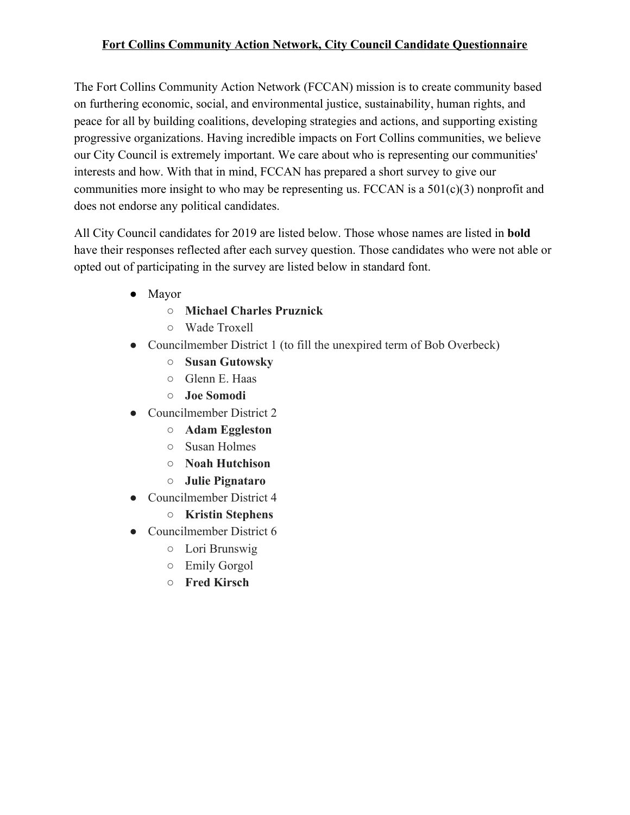#### **Fort Collins Community Action Network, City Council Candidate Questionnaire**

The Fort Collins Community Action Network (FCCAN) mission is to create community based on furthering economic, social, and environmental justice, sustainability, human rights, and peace for all by building coalitions, developing strategies and actions, and supporting existing progressive organizations. Having incredible impacts on Fort Collins communities, we believe our City Council is extremely important. We care about who is representing our communities' interests and how. With that in mind, FCCAN has prepared a short survey to give our communities more insight to who may be representing us. FCCAN is a  $501(c)(3)$  nonprofit and does not endorse any political candidates.

All City Council candidates for 2019 are listed below. Those whose names are listed in **bold** have their responses reflected after each survey question. Those candidates who were not able or opted out of participating in the survey are listed below in standard font.

- Mayor
	- **○ Michael Charles Pruznick**
	- Wade Troxell
- Councilmember District 1 (to fill the unexpired term of Bob Overbeck)
	- **○ Susan Gutowsky**
	- Glenn E. Haas
	- **○ Joe Somodi**
- Councilmember District 2
	- **○ Adam Eggleston**
	- Susan Holmes
	- **○ Noah Hutchison**
	- **○ Julie Pignataro**
- Councilmember District 4
	- **○ Kristin Stephens**
- Councilmember District 6
	- Lori Brunswig
	- Emily Gorgol
	- **○ Fred Kirsch**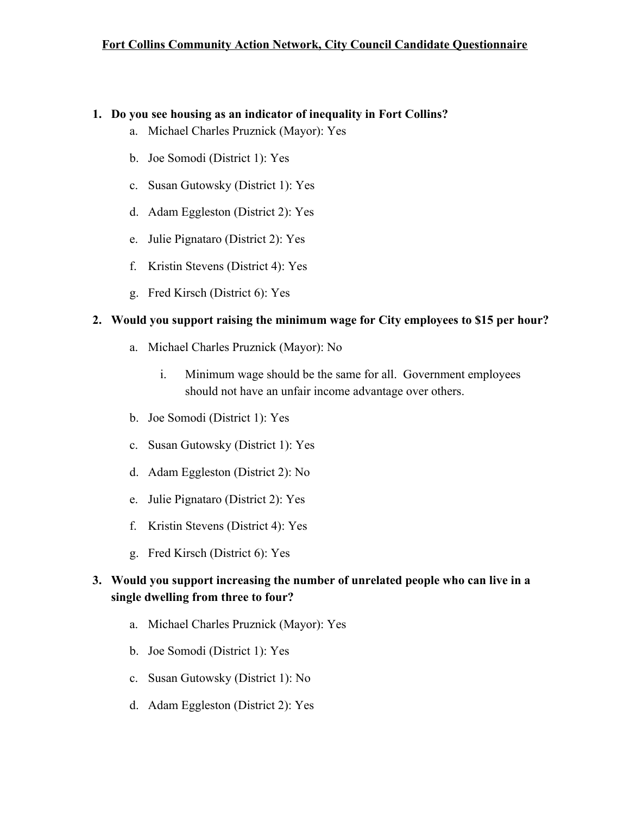#### **1. Do you see housing as an indicator of inequality in Fort Collins?**

- a. Michael Charles Pruznick (Mayor): Yes
- b. Joe Somodi (District 1): Yes
- c. Susan Gutowsky (District 1): Yes
- d. Adam Eggleston (District 2): Yes
- e. Julie Pignataro (District 2): Yes
- f. Kristin Stevens (District 4): Yes
- g. Fred Kirsch (District 6): Yes

#### **2. Would you support raising the minimum wage for City employees to \$15 per hour?**

- a. Michael Charles Pruznick (Mayor): No
	- i. Minimum wage should be the same for all. Government employees should not have an unfair income advantage over others.
- b. Joe Somodi (District 1): Yes
- c. Susan Gutowsky (District 1): Yes
- d. Adam Eggleston (District 2): No
- e. Julie Pignataro (District 2): Yes
- f. Kristin Stevens (District 4): Yes
- g. Fred Kirsch (District 6): Yes

## **3. Would you support increasing the number of unrelated people who can live in a single dwelling from three to four?**

- a. Michael Charles Pruznick (Mayor): Yes
- b. Joe Somodi (District 1): Yes
- c. Susan Gutowsky (District 1): No
- d. Adam Eggleston (District 2): Yes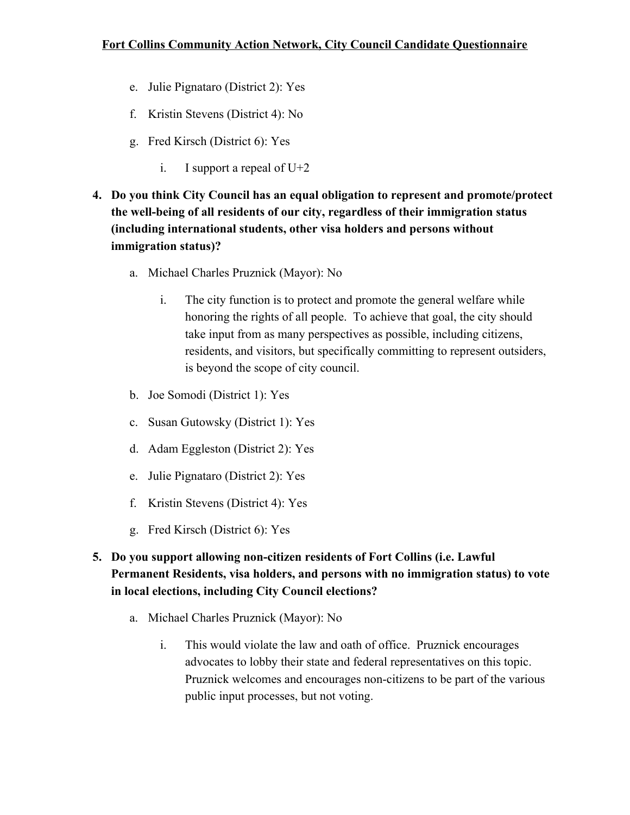- e. Julie Pignataro (District 2): Yes
- f. Kristin Stevens (District 4): No
- g. Fred Kirsch (District 6): Yes
	- i. I support a repeal of U+2
- **4. Do you think City Council has an equal obligation to represent and promote/protect the well-being of all residents of our city, regardless of their immigration status (including international students, other visa holders and persons without immigration status)?**
	- a. Michael Charles Pruznick (Mayor): No
		- i. The city function is to protect and promote the general welfare while honoring the rights of all people. To achieve that goal, the city should take input from as many perspectives as possible, including citizens, residents, and visitors, but specifically committing to represent outsiders, is beyond the scope of city council.
	- b. Joe Somodi (District 1): Yes
	- c. Susan Gutowsky (District 1): Yes
	- d. Adam Eggleston (District 2): Yes
	- e. Julie Pignataro (District 2): Yes
	- f. Kristin Stevens (District 4): Yes
	- g. Fred Kirsch (District 6): Yes
- **5. Do you support allowing non-citizen residents of Fort Collins (i.e. Lawful Permanent Residents, visa holders, and persons with no immigration status) to vote in local elections, including City Council elections?**
	- a. Michael Charles Pruznick (Mayor): No
		- i. This would violate the law and oath of office. Pruznick encourages advocates to lobby their state and federal representatives on this topic. Pruznick welcomes and encourages non-citizens to be part of the various public input processes, but not voting.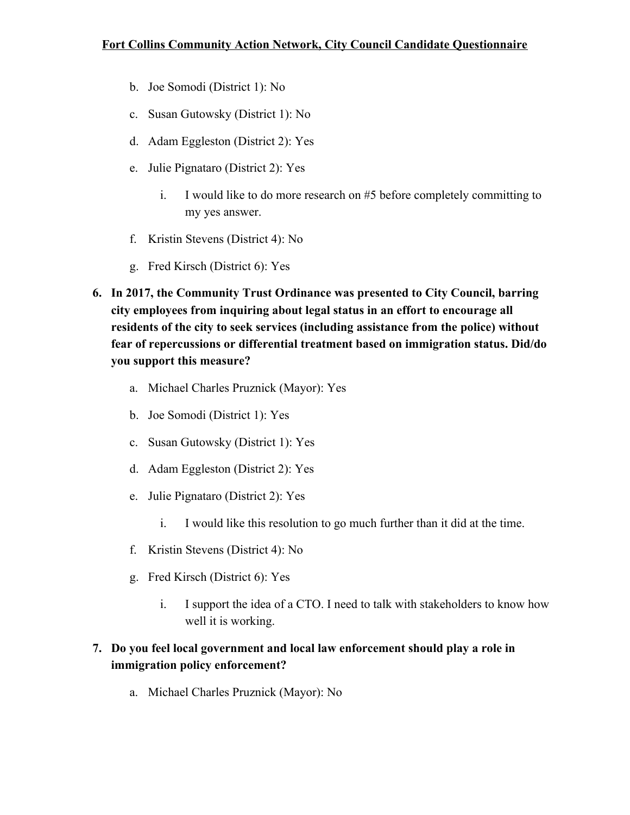- b. Joe Somodi (District 1): No
- c. Susan Gutowsky (District 1): No
- d. Adam Eggleston (District 2): Yes
- e. Julie Pignataro (District 2): Yes
	- i. I would like to do more research on #5 before completely committing to my yes answer.
- f. Kristin Stevens (District 4): No
- g. Fred Kirsch (District 6): Yes
- **6. In 2017, the Community Trust Ordinance was presented to City Council, barring city employees from inquiring about legal status in an effort to encourage all residents of the city to seek services (including assistance from the police) without fear of repercussions or differential treatment based on immigration status. Did/do you support this measure?**
	- a. Michael Charles Pruznick (Mayor): Yes
	- b. Joe Somodi (District 1): Yes
	- c. Susan Gutowsky (District 1): Yes
	- d. Adam Eggleston (District 2): Yes
	- e. Julie Pignataro (District 2): Yes
		- i. I would like this resolution to go much further than it did at the time.
	- f. Kristin Stevens (District 4): No
	- g. Fred Kirsch (District 6): Yes
		- i. I support the idea of a CTO. I need to talk with stakeholders to know how well it is working.

# **7. Do you feel local government and local law enforcement should play a role in immigration policy enforcement?**

a. Michael Charles Pruznick (Mayor): No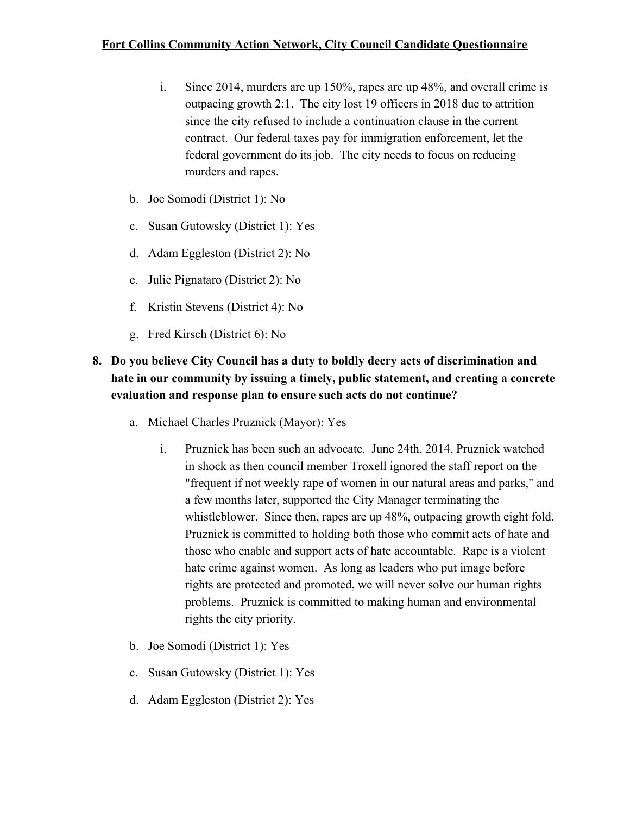- i. Since 2014, murders are up 150%, rapes are up 48%, and overall crime is outpacing growth 2:1. The city lost 19 officers in 2018 due to attrition since the city refused to include a continuation clause in the current contract. Our federal taxes pay for immigration enforcement, let the federal government do its job. The city needs to focus on reducing murders and rapes.
- b. Joe Somodi (District 1): No
- c. Susan Gutowsky (District 1): Yes
- d. Adam Eggleston (District 2): No
- e. Julie Pignataro (District 2): No
- f. Kristin Stevens (District 4): No
- g. Fred Kirsch (District 6): No

## **8. Do you believe City Council has a duty to boldly decry acts of discrimination and hate in our community by issuing a timely, public statement, and creating a concrete evaluation and response plan to ensure such acts do not continue?**

- a. Michael Charles Pruznick (Mayor): Yes
	- i. Pruznick has been such an advocate. June 24th, 2014, Pruznick watched in shock as then council member Troxell ignored the staff report on the "frequent if not weekly rape of women in our natural areas and parks," and a few months later, supported the City Manager terminating the whistleblower. Since then, rapes are up 48%, outpacing growth eight fold. Pruznick is committed to holding both those who commit acts of hate and those who enable and support acts of hate accountable. Rape is a violent hate crime against women. As long as leaders who put image before rights are protected and promoted, we will never solve our human rights problems. Pruznick is committed to making human and environmental rights the city priority.
- b. Joe Somodi (District 1): Yes
- c. Susan Gutowsky (District 1): Yes
- d. Adam Eggleston (District 2): Yes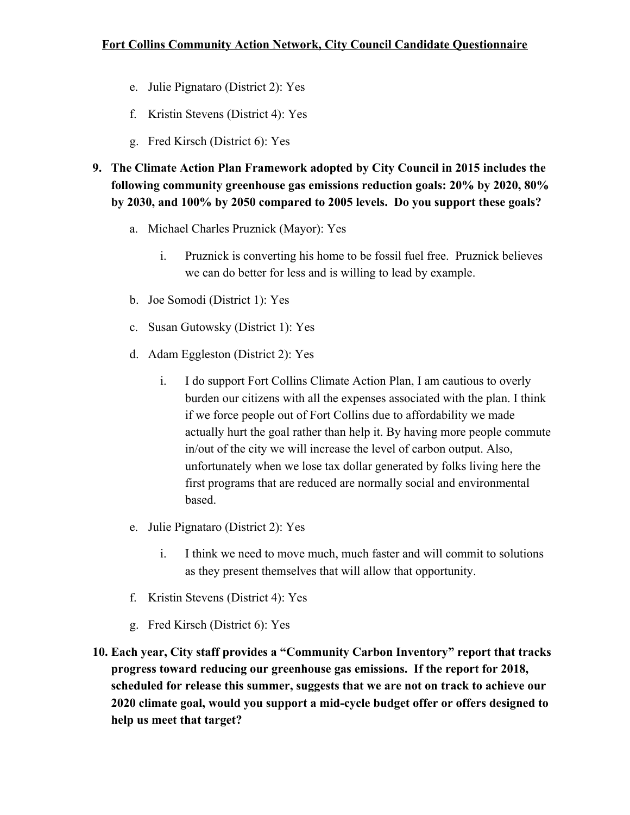- e. Julie Pignataro (District 2): Yes
- f. Kristin Stevens (District 4): Yes
- g. Fred Kirsch (District 6): Yes
- **9. The Climate Action Plan Framework adopted by City Council in 2015 includes the following community greenhouse gas emissions reduction goals: 20% by 2020, 80% by 2030, and 100% by 2050 compared to 2005 levels. Do you support these goals?**
	- a. Michael Charles Pruznick (Mayor): Yes
		- i. Pruznick is converting his home to be fossil fuel free. Pruznick believes we can do better for less and is willing to lead by example.
	- b. Joe Somodi (District 1): Yes
	- c. Susan Gutowsky (District 1): Yes
	- d. Adam Eggleston (District 2): Yes
		- i. I do support Fort Collins Climate Action Plan, I am cautious to overly burden our citizens with all the expenses associated with the plan. I think if we force people out of Fort Collins due to affordability we made actually hurt the goal rather than help it. By having more people commute in/out of the city we will increase the level of carbon output. Also, unfortunately when we lose tax dollar generated by folks living here the first programs that are reduced are normally social and environmental based.
	- e. Julie Pignataro (District 2): Yes
		- i. I think we need to move much, much faster and will commit to solutions as they present themselves that will allow that opportunity.
	- f. Kristin Stevens (District 4): Yes
	- g. Fred Kirsch (District 6): Yes
- **10. Each year, City staff provides a "Community Carbon Inventory" report that tracks progress toward reducing our greenhouse gas emissions. If the report for 2018, scheduled for release this summer, suggests that we are not on track to achieve our 2020 climate goal, would you support a mid-cycle budget offer or offers designed to help us meet that target?**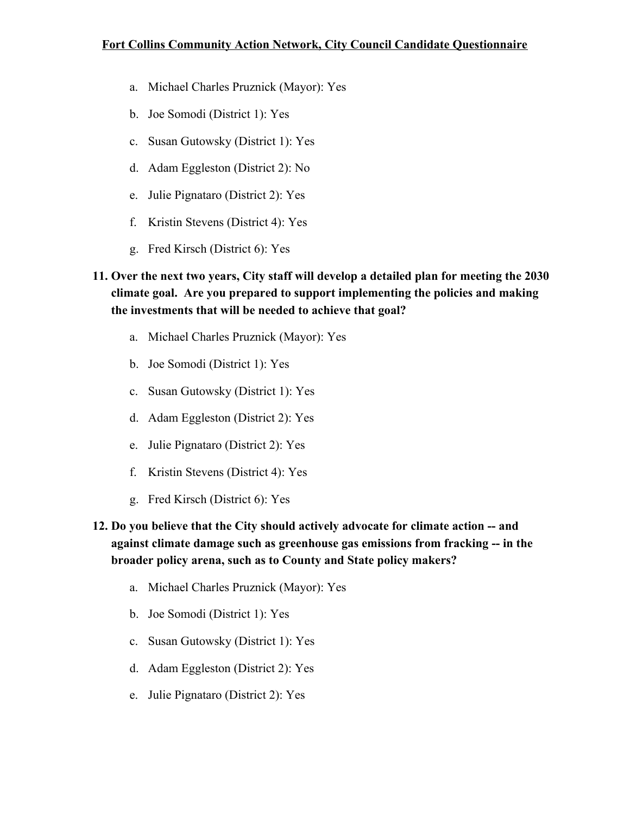- a. Michael Charles Pruznick (Mayor): Yes
- b. Joe Somodi (District 1): Yes
- c. Susan Gutowsky (District 1): Yes
- d. Adam Eggleston (District 2): No
- e. Julie Pignataro (District 2): Yes
- f. Kristin Stevens (District 4): Yes
- g. Fred Kirsch (District 6): Yes

# **11. Over the next two years, City staff will develop a detailed plan for meeting the 2030 climate goal. Are you prepared to support implementing the policies and making the investments that will be needed to achieve that goal?**

- a. Michael Charles Pruznick (Mayor): Yes
- b. Joe Somodi (District 1): Yes
- c. Susan Gutowsky (District 1): Yes
- d. Adam Eggleston (District 2): Yes
- e. Julie Pignataro (District 2): Yes
- f. Kristin Stevens (District 4): Yes
- g. Fred Kirsch (District 6): Yes
- **12. Do you believe that the City should actively advocate for climate action -- and against climate damage such as greenhouse gas emissions from fracking -- in the broader policy arena, such as to County and State policy makers?**
	- a. Michael Charles Pruznick (Mayor): Yes
	- b. Joe Somodi (District 1): Yes
	- c. Susan Gutowsky (District 1): Yes
	- d. Adam Eggleston (District 2): Yes
	- e. Julie Pignataro (District 2): Yes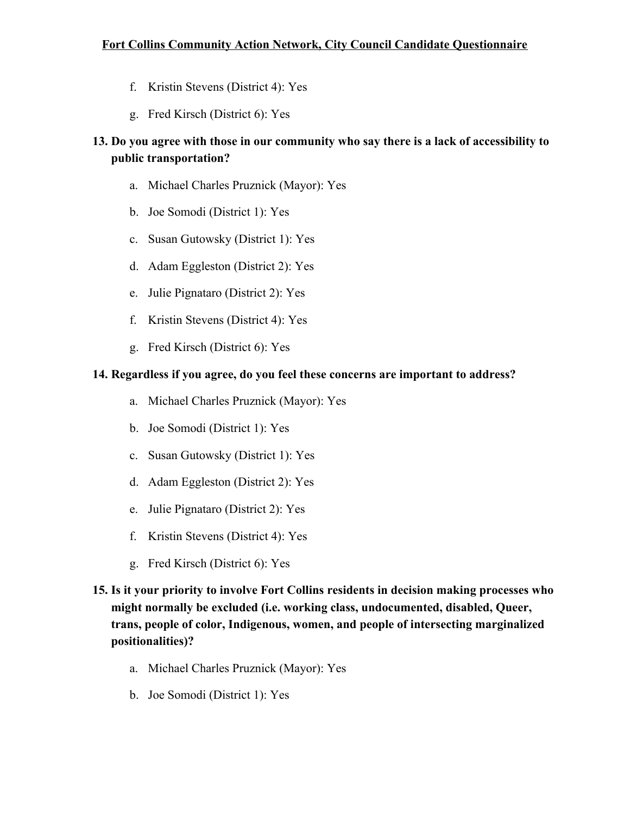- f. Kristin Stevens (District 4): Yes
- g. Fred Kirsch (District 6): Yes

# **13. Do you agree with those in our community who say there is a lack of accessibility to public transportation?**

- a. Michael Charles Pruznick (Mayor): Yes
- b. Joe Somodi (District 1): Yes
- c. Susan Gutowsky (District 1): Yes
- d. Adam Eggleston (District 2): Yes
- e. Julie Pignataro (District 2): Yes
- f. Kristin Stevens (District 4): Yes
- g. Fred Kirsch (District 6): Yes

#### **14. Regardless if you agree, do you feel these concerns are important to address?**

- a. Michael Charles Pruznick (Mayor): Yes
- b. Joe Somodi (District 1): Yes
- c. Susan Gutowsky (District 1): Yes
- d. Adam Eggleston (District 2): Yes
- e. Julie Pignataro (District 2): Yes
- f. Kristin Stevens (District 4): Yes
- g. Fred Kirsch (District 6): Yes
- **15. Is it your priority to involve Fort Collins residents in decision making processes who might normally be excluded (i.e. working class, undocumented, disabled, Queer, trans, people of color, Indigenous, women, and people of intersecting marginalized positionalities)?**
	- a. Michael Charles Pruznick (Mayor): Yes
	- b. Joe Somodi (District 1): Yes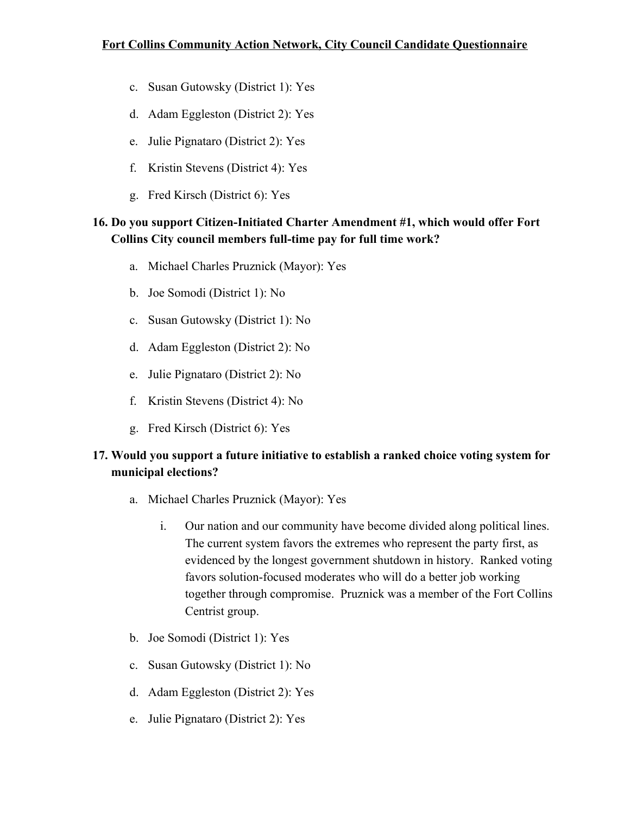- c. Susan Gutowsky (District 1): Yes
- d. Adam Eggleston (District 2): Yes
- e. Julie Pignataro (District 2): Yes
- f. Kristin Stevens (District 4): Yes
- g. Fred Kirsch (District 6): Yes

## **16. Do you support Citizen-Initiated Charter Amendment #1, which would offer Fort Collins City council members full-time pay for full time work?**

- a. Michael Charles Pruznick (Mayor): Yes
- b. Joe Somodi (District 1): No
- c. Susan Gutowsky (District 1): No
- d. Adam Eggleston (District 2): No
- e. Julie Pignataro (District 2): No
- f. Kristin Stevens (District 4): No
- g. Fred Kirsch (District 6): Yes

# **17. Would you support a future initiative to establish a ranked choice voting system for municipal elections?**

- a. Michael Charles Pruznick (Mayor): Yes
	- i. Our nation and our community have become divided along political lines. The current system favors the extremes who represent the party first, as evidenced by the longest government shutdown in history. Ranked voting favors solution-focused moderates who will do a better job working together through compromise. Pruznick was a member of the Fort Collins Centrist group.
- b. Joe Somodi (District 1): Yes
- c. Susan Gutowsky (District 1): No
- d. Adam Eggleston (District 2): Yes
- e. Julie Pignataro (District 2): Yes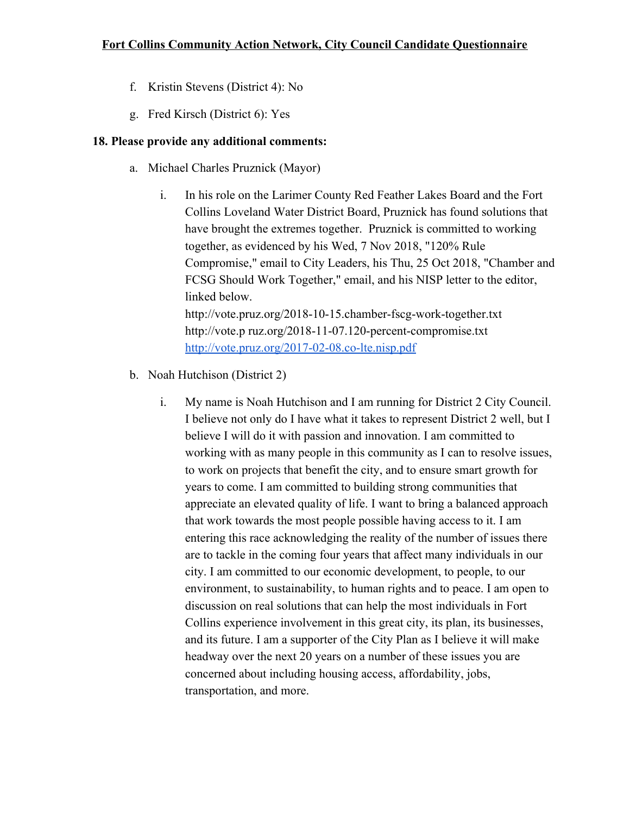- f. Kristin Stevens (District 4): No
- g. Fred Kirsch (District 6): Yes

#### **18. Please provide any additional comments:**

- a. Michael Charles Pruznick (Mayor)
	- i. In his role on the Larimer County Red Feather Lakes Board and the Fort Collins Loveland Water District Board, Pruznick has found solutions that have brought the extremes together. Pruznick is committed to working together, as evidenced by his Wed, 7 Nov 2018, "120% Rule Compromise," email to City Leaders, his Thu, 25 Oct 2018, "Chamber and FCSG Should Work Together," email, and his NISP letter to the editor, linked below. http://vote.pruz.org/2018-10-15.chamber-fscg-work-together.txt http://vote.p ruz.org/2018-11-07.120-percent-compromise.txt <http://vote.pruz.org/2017-02-08.co-lte.nisp.pdf>
- b. Noah Hutchison (District 2)
	- i. My name is Noah Hutchison and I am running for District 2 City Council. I believe not only do I have what it takes to represent District 2 well, but I believe I will do it with passion and innovation. I am committed to working with as many people in this community as I can to resolve issues, to work on projects that benefit the city, and to ensure smart growth for years to come. I am committed to building strong communities that appreciate an elevated quality of life. I want to bring a balanced approach that work towards the most people possible having access to it. I am entering this race acknowledging the reality of the number of issues there are to tackle in the coming four years that affect many individuals in our city. I am committed to our economic development, to people, to our environment, to sustainability, to human rights and to peace. I am open to discussion on real solutions that can help the most individuals in Fort Collins experience involvement in this great city, its plan, its businesses, and its future. I am a supporter of the City Plan as I believe it will make headway over the next 20 years on a number of these issues you are concerned about including housing access, affordability, jobs, transportation, and more.